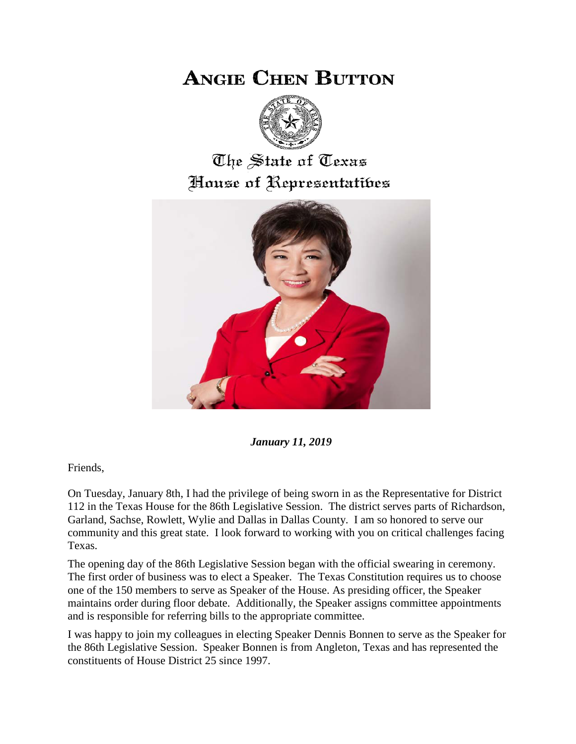# **ANGIE CHEN BUTTON**



# The State of Texas House of Representatibes



*January 11, 2019*

Friends,

On Tuesday, January 8th, I had the privilege of being sworn in as the Representative for District 112 in the Texas House for the 86th Legislative Session. The district serves parts of Richardson, Garland, Sachse, Rowlett, Wylie and Dallas in Dallas County. I am so honored to serve our community and this great state. I look forward to working with you on critical challenges facing Texas.

The opening day of the 86th Legislative Session began with the official swearing in ceremony. The first order of business was to elect a Speaker. The Texas Constitution requires us to choose one of the 150 members to serve as Speaker of the House. As presiding officer, the Speaker maintains order during floor debate. Additionally, the Speaker assigns committee appointments and is responsible for referring bills to the appropriate committee.

I was happy to join my colleagues in electing Speaker Dennis Bonnen to serve as the Speaker for the 86th Legislative Session. Speaker Bonnen is from Angleton, Texas and has represented the constituents of House District 25 since 1997.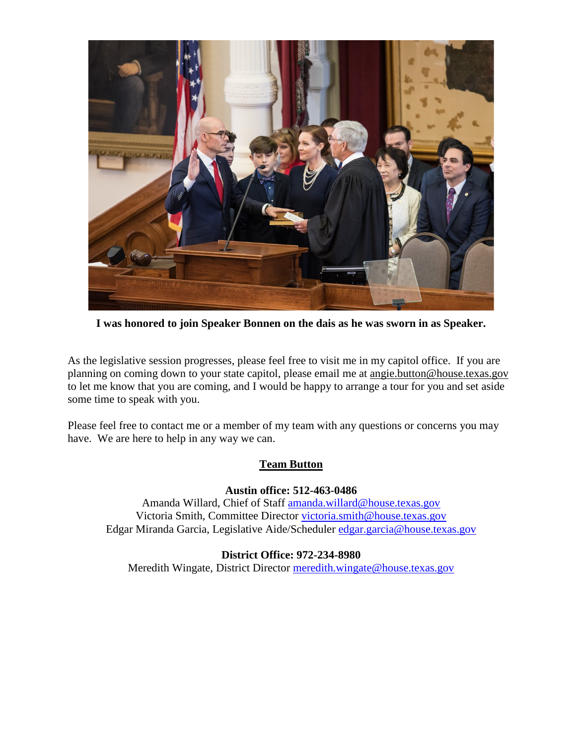

**I was honored to join Speaker Bonnen on the dais as he was sworn in as Speaker.** 

As the legislative session progresses, please feel free to visit me in my capitol office. If you are planning on coming down to your state capitol, please email me at angie.button@house.texas.gov to let me know that you are coming, and I would be happy to arrange a tour for you and set aside some time to speak with you.

Please feel free to contact me or a member of my team with any questions or concerns you may have. We are here to help in any way we can.

## **Team Button**

#### **Austin office: 512-463-0486**

Amanda Willard, Chief of Staff [amanda.willard@house.texas.gov](mailto:amanda.willard@house.texas.gov) Victoria Smith, Committee Director [victoria.smith@house.texas.gov](mailto:victoria.smith@house.texas.gov) Edgar Miranda Garcia, Legislative Aide/Scheduler [edgar.garcia@house.texas.gov](mailto:edgar.garcia@house.texas.gov)

#### **District Office: 972-234-8980**

Meredith Wingate, District Director [meredith.wingate@house.texas.gov](mailto:meredith.wingate@house.texas.gov)